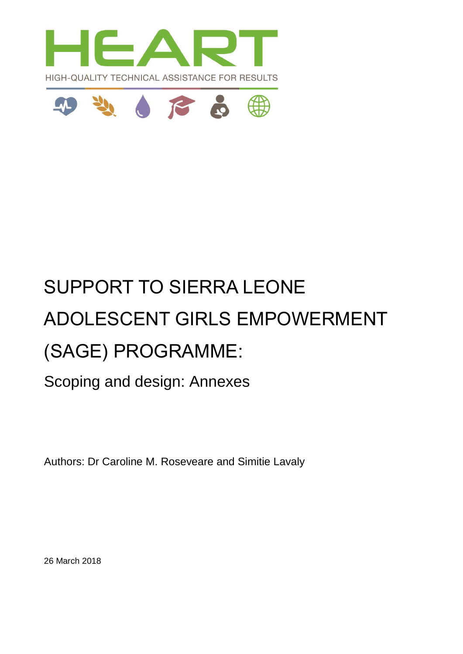



# SUPPORT TO SIERRA LEONE ADOLESCENT GIRLS EMPOWERMENT (SAGE) PROGRAMME:

Scoping and design: Annexes

Authors: Dr Caroline M. Roseveare and Simitie Lavaly

26 March 2018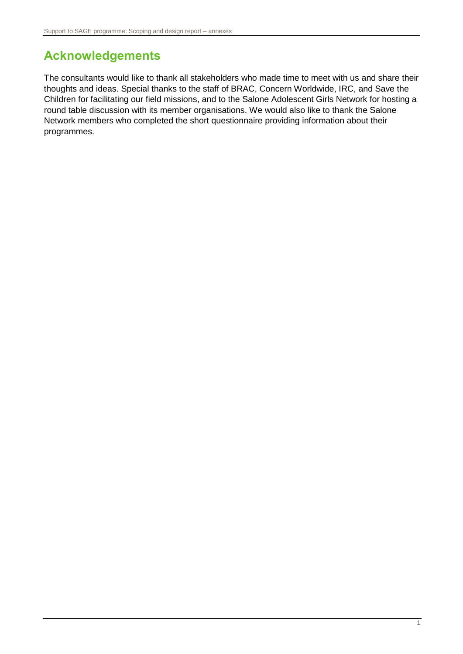# <span id="page-1-0"></span>**Acknowledgements**

The consultants would like to thank all stakeholders who made time to meet with us and share their thoughts and ideas. Special thanks to the staff of BRAC, Concern Worldwide, IRC, and Save the Children for facilitating our field missions, and to the Salone Adolescent Girls Network for hosting a round table discussion with its member organisations. We would also like to thank the Salone Network members who completed the short questionnaire providing information about their programmes.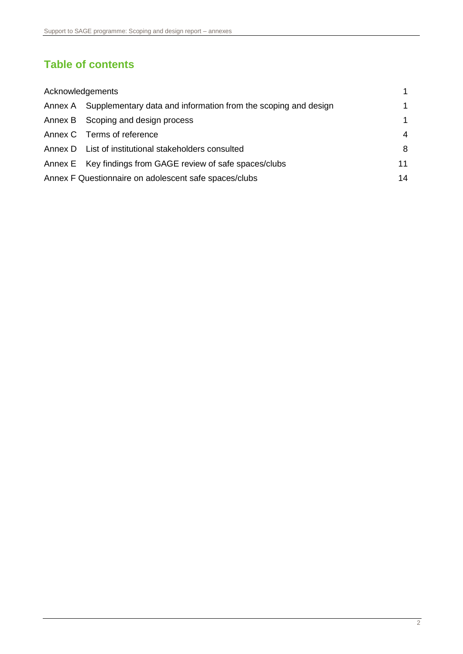### **Table of contents**

| Acknowledgements |                                                                | $\mathbf 1$ |
|------------------|----------------------------------------------------------------|-------------|
| Annex A          | Supplementary data and information from the scoping and design | 1           |
|                  | Annex B Scoping and design process                             | $\mathbf 1$ |
|                  | Annex C Terms of reference                                     | 4           |
|                  | Annex D List of institutional stakeholders consulted           | 8           |
|                  | Annex E Key findings from GAGE review of safe spaces/clubs     | 11          |
|                  | Annex F Questionnaire on adolescent safe spaces/clubs          | 14          |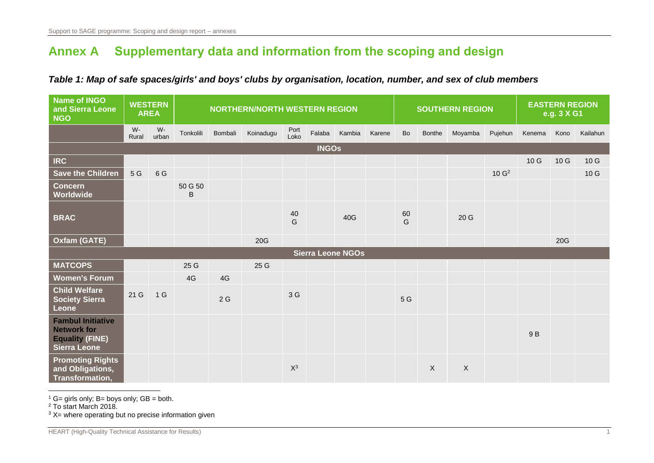# **Annex A Supplementary data and information from the scoping and design**

### *Table 1: Map of safe spaces/girls' and boys' clubs by organisation, location, number, and sex of club members*

<span id="page-3-0"></span>

| <b>Name of INGO</b><br>and Sierra Leone<br><b>NGO</b>                                           |                | <b>WESTERN</b><br><b>AREA</b> |              |         |           | <b>NORTHERN/NORTH WESTERN REGION</b> |              |                          | <b>SOUTHERN REGION</b> |         |               |              | <b>EASTERN REGION</b><br>e.g. 3 X G1 |        |      |          |
|-------------------------------------------------------------------------------------------------|----------------|-------------------------------|--------------|---------|-----------|--------------------------------------|--------------|--------------------------|------------------------|---------|---------------|--------------|--------------------------------------|--------|------|----------|
|                                                                                                 | $W -$<br>Rural | W-<br>urban                   | Tonkolili    | Bombali | Koinadugu | Port<br>Loko                         | Falaba       | Kambia                   | Karene                 | Bo      | <b>Bonthe</b> | Moyamba      | Pujehun                              | Kenema | Kono | Kailahun |
|                                                                                                 |                |                               |              |         |           |                                      | <b>INGOs</b> |                          |                        |         |               |              |                                      |        |      |          |
| <b>IRC</b>                                                                                      |                |                               |              |         |           |                                      |              |                          |                        |         |               |              |                                      | 10G    | 10 G | 10G      |
| Save the Children                                                                               | 5 G            | 6 G                           |              |         |           |                                      |              |                          |                        |         |               |              | 10 G <sup>2</sup>                    |        |      | 10G      |
| <b>Concern</b><br><b>Worldwide</b>                                                              |                |                               | 50 G 50<br>B |         |           |                                      |              |                          |                        |         |               |              |                                      |        |      |          |
| <b>BRAC</b>                                                                                     |                |                               |              |         |           | 40<br>G                              |              | 40G                      |                        | 60<br>G |               | 20 G         |                                      |        |      |          |
| Oxfam (GATE)                                                                                    |                |                               |              |         | 20G       |                                      |              |                          |                        |         |               |              |                                      |        | 20G  |          |
|                                                                                                 |                |                               |              |         |           |                                      |              | <b>Sierra Leone NGOs</b> |                        |         |               |              |                                      |        |      |          |
| <b>MATCOPS</b>                                                                                  |                |                               | 25 G         |         | 25 G      |                                      |              |                          |                        |         |               |              |                                      |        |      |          |
| <b>Women's Forum</b>                                                                            |                |                               | 4G           | 4G      |           |                                      |              |                          |                        |         |               |              |                                      |        |      |          |
| <b>Child Welfare</b><br><b>Society Sierra</b><br>Leone                                          | 21 G           | 1 <sub>G</sub>                |              | 2G      |           | 3 G                                  |              |                          |                        | 5 G     |               |              |                                      |        |      |          |
| <b>Fambul Initiative</b><br><b>Network for</b><br><b>Equality (FINE)</b><br><b>Sierra Leone</b> |                |                               |              |         |           |                                      |              |                          |                        |         |               |              |                                      | 9 B    |      |          |
| <b>Promoting Rights</b><br>and Obligations,<br>Transformation,                                  |                |                               |              |         |           | $X^3$                                |              |                          |                        |         | $\mathsf{X}$  | $\mathsf{X}$ |                                      |        |      |          |

 $\overline{a}$  $1$  G= girls only; B= boys only; GB = both.

<sup>2</sup> To start March 2018.

 $3 X$ = where operating but no precise information given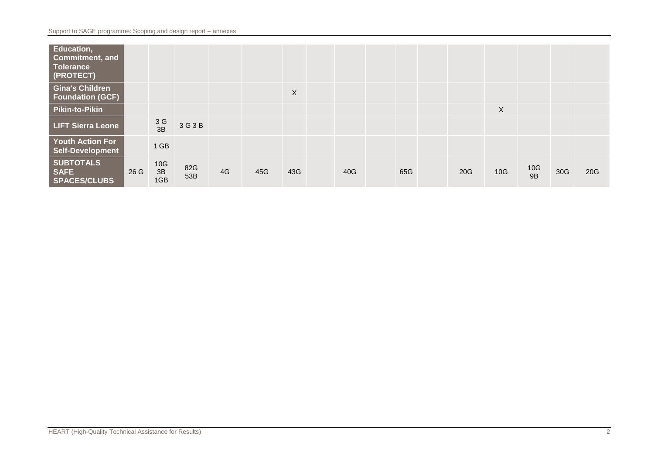| Education,<br><b>Commitment, and</b><br><b>Tolerance</b><br>(PROTECT) |      |                  |            |    |     |     |     |     |     |     |                  |     |     |
|-----------------------------------------------------------------------|------|------------------|------------|----|-----|-----|-----|-----|-----|-----|------------------|-----|-----|
| <b>Gina's Children</b><br><b>Foundation (GCF)</b>                     |      |                  |            |    |     | X   |     |     |     |     |                  |     |     |
| <b>Pikin-to-Pikin</b>                                                 |      |                  |            |    |     |     |     |     |     | X   |                  |     |     |
| <b>LIFT Sierra Leone</b>                                              |      | 3G<br>3B         | 3 G 3 B    |    |     |     |     |     |     |     |                  |     |     |
| <b>Youth Action For</b><br>Self-Development                           |      | $1$ GB           |            |    |     |     |     |     |     |     |                  |     |     |
| <b>SUBTOTALS</b><br><b>SAFE</b><br><b>SPACES/CLUBS</b>                | 26 G | 10G<br>3B<br>1GB | 82G<br>53B | 4G | 45G | 43G | 40G | 65G | 20G | 10G | $\frac{10G}{9B}$ | 30G | 20G |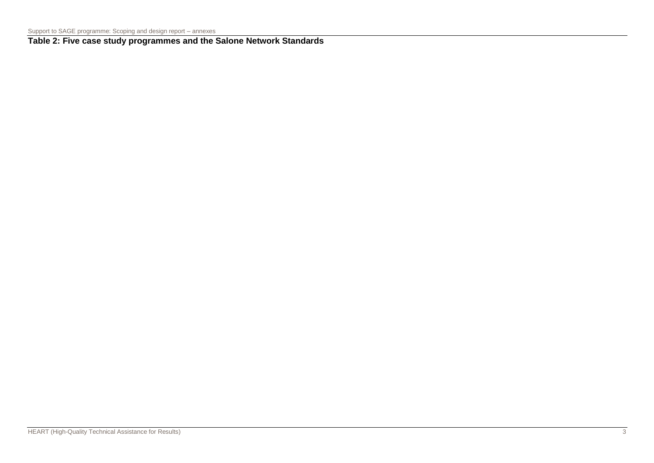**Table 2: Five case study programmes and the Salone Network Standards**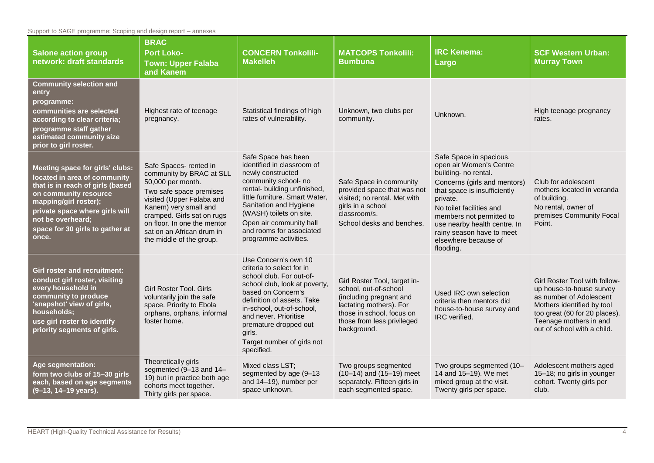Support to SAGE programme: Scoping and design report – annexes

| <b>Salone action group</b><br>network: draft standards                                                                                                                                                                                                   | <b>BRAC</b><br><b>Port Loko-</b><br><b>Town: Upper Falaba</b><br>and Kanem                                                                                                                                                                                                     | <b>CONCERN Tonkolili-</b><br><b>Makelleh</b>                                                                                                                                                                                                                                                            | <b>MATCOPS Tonkolili:</b><br><b>Bumbuna</b>                                                                                                                                           | <b>IRC Kenema:</b><br>Largo                                                                                                                                                                                                                                                                                      | <b>SCF Western Urban:</b><br><b>Murray Town</b>                                                                                                                                                              |
|----------------------------------------------------------------------------------------------------------------------------------------------------------------------------------------------------------------------------------------------------------|--------------------------------------------------------------------------------------------------------------------------------------------------------------------------------------------------------------------------------------------------------------------------------|---------------------------------------------------------------------------------------------------------------------------------------------------------------------------------------------------------------------------------------------------------------------------------------------------------|---------------------------------------------------------------------------------------------------------------------------------------------------------------------------------------|------------------------------------------------------------------------------------------------------------------------------------------------------------------------------------------------------------------------------------------------------------------------------------------------------------------|--------------------------------------------------------------------------------------------------------------------------------------------------------------------------------------------------------------|
| <b>Community selection and</b><br>entry<br>programme:<br>communities are selected<br>according to clear criteria;<br>programme staff gather<br>estimated community size<br>prior to girl roster.                                                         | Highest rate of teenage<br>pregnancy.                                                                                                                                                                                                                                          | Statistical findings of high<br>rates of vulnerability.                                                                                                                                                                                                                                                 | Unknown, two clubs per<br>community.                                                                                                                                                  | Unknown.                                                                                                                                                                                                                                                                                                         | High teenage pregnancy<br>rates.                                                                                                                                                                             |
| Meeting space for girls' clubs:<br>located in area of community<br>that is in reach of girls (based<br>on community resource<br>mapping/girl roster);<br>private space where girls will<br>not be overheard;<br>space for 30 girls to gather at<br>once. | Safe Spaces- rented in<br>community by BRAC at SLL<br>50,000 per month.<br>Two safe space premises<br>visited (Upper Falaba and<br>Kanem) very small and<br>cramped. Girls sat on rugs<br>on floor. In one the mentor<br>sat on an African drum in<br>the middle of the group. | Safe Space has been<br>identified in classroom of<br>newly constructed<br>community school- no<br>rental- building unfinished,<br>little furniture. Smart Water,<br>Sanitation and Hygiene<br>(WASH) toilets on site.<br>Open air community hall<br>and rooms for associated<br>programme activities.   | Safe Space in community<br>provided space that was not<br>visited; no rental. Met with<br>girls in a school<br>classroom/s.<br>School desks and benches.                              | Safe Space in spacious,<br>open air Women's Centre<br>building- no rental.<br>Concerns (girls and mentors)<br>that space is insufficiently<br>private.<br>No toilet facilities and<br>members not permitted to<br>use nearby health centre. In<br>rainy season have to meet<br>elsewhere because of<br>flooding. | Club for adolescent<br>mothers located in veranda<br>of building.<br>No rental, owner of<br>premises Community Focal<br>Point.                                                                               |
| <b>Girl roster and recruitment:</b><br>conduct girl roster, visiting<br>every household in<br>community to produce<br>'snapshot' view of girls,<br>households;<br>use girl roster to identify<br>priority segments of girls.                             | Girl Roster Tool. Girls<br>voluntarily join the safe<br>space. Priority to Ebola<br>orphans, orphans, informal<br>foster home.                                                                                                                                                 | Use Concern's own 10<br>criteria to select for in<br>school club. For out-of-<br>school club, look at poverty,<br>based on Concern's<br>definition of assets. Take<br>in-school, out-of-school,<br>and never. Prioritise<br>premature dropped out<br>girls.<br>Target number of girls not<br>specified. | Girl Roster Tool, target in-<br>school, out-of-school<br>(including pregnant and<br>lactating mothers). For<br>those in school, focus on<br>those from less privileged<br>background. | Used IRC own selection<br>criteria then mentors did<br>house-to-house survey and<br>IRC verified.                                                                                                                                                                                                                | Girl Roster Tool with follow-<br>up house-to-house survey<br>as number of Adolescent<br>Mothers identified by tool<br>too great (60 for 20 places).<br>Teenage mothers in and<br>out of school with a child. |
| Age segmentation:<br>form two clubs of 15-30 girls<br>each, based on age segments<br>(9-13, 14-19 years).                                                                                                                                                | Theoretically girls<br>segmented (9-13 and 14-<br>19) but in practice both age<br>cohorts meet together.<br>Thirty girls per space.                                                                                                                                            | Mixed class LST;<br>segmented by age (9-13<br>and 14-19), number per<br>space unknown.                                                                                                                                                                                                                  | Two groups segmented<br>$(10-14)$ and $(15-19)$ meet<br>separately. Fifteen girls in<br>each segmented space.                                                                         | Two groups segmented (10-<br>14 and 15-19). We met<br>mixed group at the visit.<br>Twenty girls per space.                                                                                                                                                                                                       | Adolescent mothers aged<br>15-18; no girls in younger<br>cohort. Twenty girls per<br>club.                                                                                                                   |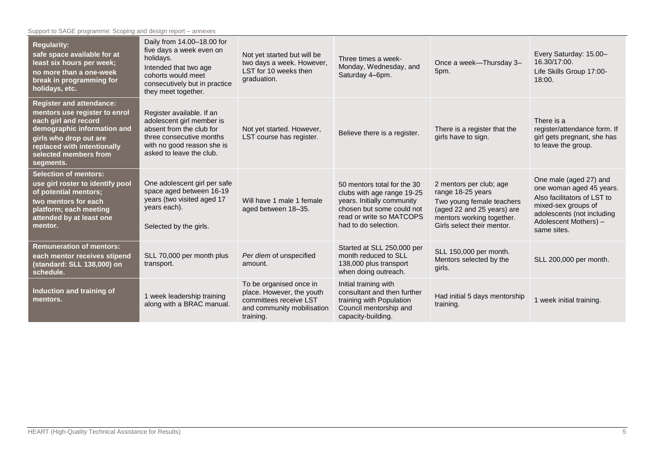Support to SAGE programme: Scoping and design report – annexes

| <b>Regularity:</b><br>safe space available for at<br>least six hours per week;<br>no more than a one-week<br>break in programming for<br>holidays, etc.                                                                | Daily from 14.00-18.00 for<br>five days a week even on<br>holidays.<br>Intended that two age<br>cohorts would meet<br>consecutively but in practice<br>they meet together. | Not yet started but will be<br>two days a week. However,<br>LST for 10 weeks then<br>graduation.                          | Three times a week-<br>Monday, Wednesday, and<br>Saturday 4-6pm.                                                                                                         | Once a week-Thursday 3-<br>5pm.                                                                                                                                    | Every Saturday: 15.00-<br>16.30/17:00.<br>Life Skills Group 17:00-<br>18:00.                                                                                                   |
|------------------------------------------------------------------------------------------------------------------------------------------------------------------------------------------------------------------------|----------------------------------------------------------------------------------------------------------------------------------------------------------------------------|---------------------------------------------------------------------------------------------------------------------------|--------------------------------------------------------------------------------------------------------------------------------------------------------------------------|--------------------------------------------------------------------------------------------------------------------------------------------------------------------|--------------------------------------------------------------------------------------------------------------------------------------------------------------------------------|
| <b>Register and attendance:</b><br>mentors use register to enrol<br>each girl and record<br>demographic information and<br>girls who drop out are<br>replaced with intentionally<br>selected members from<br>segments. | Register available. If an<br>adolescent girl member is<br>absent from the club for<br>three consecutive months<br>with no good reason she is<br>asked to leave the club.   | Not yet started. However,<br>LST course has register.                                                                     | Believe there is a register.                                                                                                                                             | There is a register that the<br>girls have to sign.                                                                                                                | There is a<br>register/attendance form. If<br>girl gets pregnant, she has<br>to leave the group.                                                                               |
| <b>Selection of mentors:</b><br>use girl roster to identify pool<br>of potential mentors;<br>two mentors for each<br>platform; each meeting<br>attended by at least one<br>mentor.                                     | One adolescent girl per safe<br>space aged between 16-19<br>years (two visited aged 17<br>years each).<br>Selected by the girls.                                           | Will have 1 male 1 female<br>aged between 18-35.                                                                          | 50 mentors total for the 30<br>clubs with age range 19-25<br>years. Initially community<br>chosen but some could not<br>read or write so MATCOPS<br>had to do selection. | 2 mentors per club; age<br>range 18-25 years<br>Two young female teachers<br>(aged 22 and 25 years) are<br>mentors working together.<br>Girls select their mentor. | One male (aged 27) and<br>one woman aged 45 years.<br>Also facilitators of LST to<br>mixed-sex groups of<br>adolescents (not including<br>Adolescent Mothers) -<br>same sites. |
| <b>Remuneration of mentors:</b><br>each mentor receives stipend<br>(standard: SLL 138,000) on<br>schedule.                                                                                                             | SLL 70,000 per month plus<br>transport.                                                                                                                                    | Per diem of unspecified<br>amount.                                                                                        | Started at SLL 250,000 per<br>month reduced to SLL<br>138,000 plus transport<br>when doing outreach.                                                                     | SLL 150,000 per month.<br>Mentors selected by the<br>girls.                                                                                                        | SLL 200,000 per month.                                                                                                                                                         |
| Induction and training of<br>mentors.                                                                                                                                                                                  | 1 week leadership training<br>along with a BRAC manual.                                                                                                                    | To be organised once in<br>place. However, the youth<br>committees receive LST<br>and community mobilisation<br>training. | Initial training with<br>consultant and then further<br>training with Population<br>Council mentorship and<br>capacity-building.                                         | Had initial 5 days mentorship<br>training.                                                                                                                         | 1 week initial training.                                                                                                                                                       |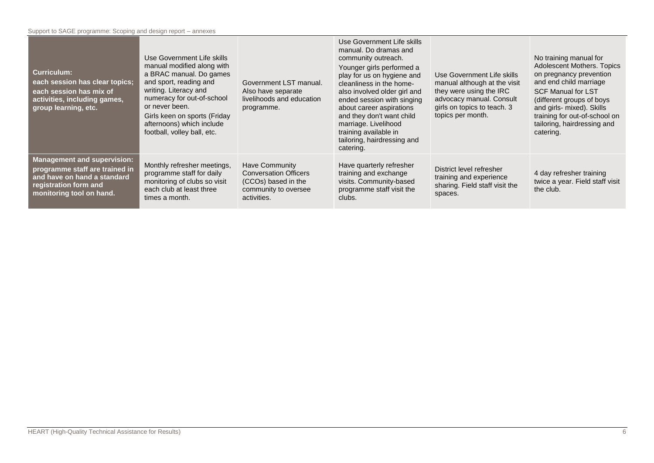| <b>Curriculum:</b><br>each session has clear topics;<br>each session has mix of<br>activities, including games,<br>group learning, etc.                  | Use Government Life skills<br>manual modified along with<br>a BRAC manual. Do games<br>and sport, reading and<br>writing. Literacy and<br>numeracy for out-of-school<br>or never been.<br>Girls keen on sports (Friday<br>afternoons) which include<br>football, volley ball, etc. | Government LST manual.<br>Also have separate<br>livelihoods and education<br>programme.                      | Use Government Life skills<br>manual. Do dramas and<br>community outreach.<br>Younger girls performed a<br>play for us on hygiene and<br>cleanliness in the home-<br>also involved older girl and<br>ended session with singing<br>about career aspirations<br>and they don't want child<br>marriage. Livelihood<br>training available in<br>tailoring, hairdressing and<br>catering. | Use Government Life skills<br>manual although at the visit<br>they were using the IRC<br>advocacy manual. Consult<br>girls on topics to teach. 3<br>topics per month. | No training manual for<br>Adolescent Mothers. Topics<br>on pregnancy prevention<br>and end child marriage<br><b>SCF Manual for LST</b><br>(different groups of boys)<br>and girls- mixed). Skills<br>training for out-of-school on<br>tailoring, hairdressing and<br>catering. |
|----------------------------------------------------------------------------------------------------------------------------------------------------------|------------------------------------------------------------------------------------------------------------------------------------------------------------------------------------------------------------------------------------------------------------------------------------|--------------------------------------------------------------------------------------------------------------|---------------------------------------------------------------------------------------------------------------------------------------------------------------------------------------------------------------------------------------------------------------------------------------------------------------------------------------------------------------------------------------|-----------------------------------------------------------------------------------------------------------------------------------------------------------------------|--------------------------------------------------------------------------------------------------------------------------------------------------------------------------------------------------------------------------------------------------------------------------------|
| <b>Management and supervision:</b><br>programme staff are trained in<br>and have on hand a standard<br>registration form and<br>monitoring tool on hand. | Monthly refresher meetings,<br>programme staff for daily<br>monitoring of clubs so visit<br>each club at least three<br>times a month.                                                                                                                                             | Have Community<br><b>Conversation Officers</b><br>(CCOs) based in the<br>community to oversee<br>activities. | Have quarterly refresher<br>training and exchange<br>visits. Community-based<br>programme staff visit the<br>clubs.                                                                                                                                                                                                                                                                   | District level refresher<br>training and experience<br>sharing. Field staff visit the<br>spaces.                                                                      | 4 day refresher training<br>twice a year. Field staff visit<br>the club.                                                                                                                                                                                                       |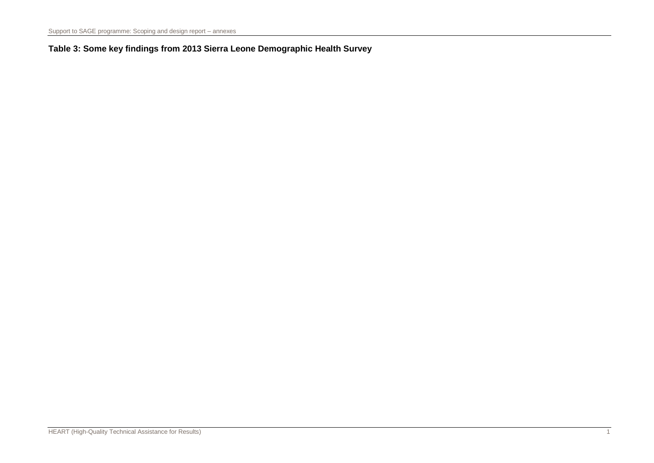### **Table 3: Some key findings from 2013 Sierra Leone Demographic Health Survey**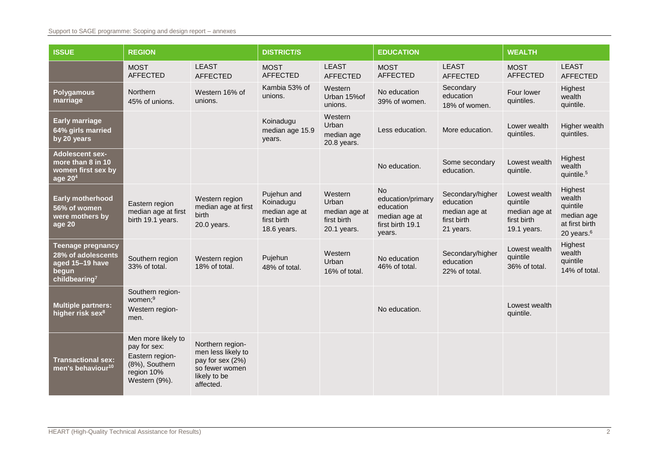### Support to SAGE programme: Scoping and design report – annexes

| <b>ISSUE</b>                                                                                            | <b>REGION</b>                                                                                          | <b>DISTRICT/S</b>                                                                                         |                                                                         |                                                                 | <b>EDUCATION</b>                                                                           |                                                                            | <b>WEALTH</b>                                                            |                                                                                |  |
|---------------------------------------------------------------------------------------------------------|--------------------------------------------------------------------------------------------------------|-----------------------------------------------------------------------------------------------------------|-------------------------------------------------------------------------|-----------------------------------------------------------------|--------------------------------------------------------------------------------------------|----------------------------------------------------------------------------|--------------------------------------------------------------------------|--------------------------------------------------------------------------------|--|
|                                                                                                         | <b>MOST</b><br><b>AFFECTED</b>                                                                         | <b>LEAST</b><br><b>AFFECTED</b>                                                                           | <b>MOST</b><br><b>AFFECTED</b>                                          | <b>LEAST</b><br><b>AFFECTED</b>                                 | <b>MOST</b><br><b>AFFECTED</b>                                                             | <b>LEAST</b><br><b>AFFECTED</b>                                            | <b>MOST</b><br><b>AFFECTED</b>                                           | <b>LEAST</b><br><b>AFFECTED</b>                                                |  |
| <b>Polygamous</b><br>marriage                                                                           | Northern<br>45% of unions.                                                                             | Western 16% of<br>unions.                                                                                 | Kambia 53% of<br>unions.                                                | Western<br>Urban 15% of<br>unions.                              | No education<br>39% of women.                                                              | Secondary<br>education<br>18% of women.                                    | Four lower<br>quintiles.                                                 | Highest<br>wealth<br>quintile.                                                 |  |
| <b>Early marriage</b><br>64% girls married<br>by 20 years                                               |                                                                                                        |                                                                                                           | Koinadugu<br>median age 15.9<br>years.                                  | Western<br>Urban<br>median age<br>20.8 years.                   | Less education.                                                                            | More education.                                                            | Lower wealth<br>quintiles.                                               | Higher wealth<br>quintiles.                                                    |  |
| <b>Adolescent sex-</b><br>more than 8 in 10<br>women first sex by<br>age $204$                          |                                                                                                        |                                                                                                           |                                                                         |                                                                 | No education.                                                                              | Some secondary<br>education.                                               | Lowest wealth<br>quintile.                                               | Highest<br>wealth<br>quintile. <sup>5</sup>                                    |  |
| Early motherhood<br>56% of women<br>were mothers by<br>age 20                                           | Eastern region<br>median age at first<br>birth 19.1 years.                                             | Western region<br>median age at first<br>birth<br>20.0 years.                                             | Pujehun and<br>Koinadugu<br>median age at<br>first birth<br>18.6 years. | Western<br>Urban<br>median age at<br>first birth<br>20.1 years. | <b>No</b><br>education/primary<br>education<br>median age at<br>first birth 19.1<br>years. | Secondary/higher<br>education<br>median age at<br>first birth<br>21 years. | Lowest wealth<br>quintile<br>median age at<br>first birth<br>19.1 years. | Highest<br>wealth<br>quintile<br>median age<br>at first birth<br>20 years. $6$ |  |
| <b>Teenage pregnancy</b><br>28% of adolescents<br>aged 15-19 have<br>begun<br>childbearing <sup>7</sup> | Southern region<br>33% of total.                                                                       | Western region<br>18% of total.                                                                           | Pujehun<br>48% of total.                                                | Western<br>Urban<br>16% of total.                               | No education<br>46% of total.                                                              | Secondary/higher<br>education<br>22% of total.                             | Lowest wealth<br>quintile<br>36% of total.                               | Highest<br>wealth<br>quintile<br>14% of total.                                 |  |
| <b>Multiple partners:</b><br>higher risk sex <sup>8</sup>                                               | Southern region-<br>women; <sup>9</sup><br>Western region-<br>men.                                     |                                                                                                           |                                                                         |                                                                 | No education.                                                                              |                                                                            | Lowest wealth<br>quintile.                                               |                                                                                |  |
| <b>Transactional sex:</b><br>men's behaviour <sup>10</sup>                                              | Men more likely to<br>pay for sex:<br>Eastern region-<br>(8%), Southern<br>region 10%<br>Western (9%). | Northern region-<br>men less likely to<br>pay for sex (2%)<br>so fewer women<br>likely to be<br>affected. |                                                                         |                                                                 |                                                                                            |                                                                            |                                                                          |                                                                                |  |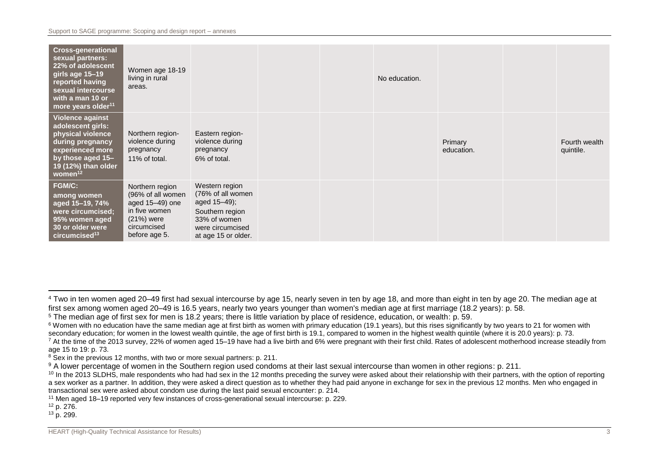| <b>Cross-generational</b><br>sexual partners:<br>22% of adolescent<br>girls age 15-19<br>reported having<br>sexual intercourse<br>with a man 10 or<br>more years older <sup>11</sup> | Women age 18-19<br>living in rural<br>areas.                                                                             |                                                                                                                                   |  | No education. |                       |                            |
|--------------------------------------------------------------------------------------------------------------------------------------------------------------------------------------|--------------------------------------------------------------------------------------------------------------------------|-----------------------------------------------------------------------------------------------------------------------------------|--|---------------|-----------------------|----------------------------|
| <b>Violence against</b><br>adolescent girls:<br>physical violence<br>during pregnancy<br>experienced more<br>by those aged 15-<br>19 (12%) than older<br>women <sup>12</sup>         | Northern region-<br>violence during<br>pregnancy<br>11% of total.                                                        | Eastern region-<br>violence during<br>pregnancy<br>6% of total.                                                                   |  |               | Primary<br>education. | Fourth wealth<br>quintile. |
| FGM/C:<br>among women<br>aged 15-19, 74%<br>were circumcised;<br>95% women aged<br>30 or older were<br>$circ$ umcised <sup>13</sup>                                                  | Northern region<br>(96% of all women<br>aged 15-49) one<br>in five women<br>$(21%)$ were<br>circumcised<br>before age 5. | Western region<br>(76% of all women<br>aged 15–49);<br>Southern region<br>33% of women<br>were circumcised<br>at age 15 or older. |  |               |                       |                            |

<sup>12</sup> p. 276.

 $\overline{a}$ 

 $13$  p. 299.

<sup>&</sup>lt;sup>4</sup> Two in ten women aged 20–49 first had sexual intercourse by age 15, nearly seven in ten by age 18, and more than eight in ten by age 20. The median age at first sex among women aged 20–49 is 16.5 years, nearly two years younger than women's median age at first marriage (18.2 years): p. 58.

<sup>&</sup>lt;sup>5</sup> The median age of first sex for men is 18.2 years; there is little variation by place of residence, education, or wealth: p. 59.

<sup>&</sup>lt;sup>6</sup> Women with no education have the same median age at first birth as women with primary education (19.1 years), but this rises significantly by two years to 21 for women with secondary education; for women in the lowest wealth quintile, the age of first birth is 19.1, compared to women in the highest wealth quintile (where it is 20.0 years): p. 73.

<sup>&</sup>lt;sup>7</sup> At the time of the 2013 survey, 22% of women aged 15–19 have had a live birth and 6% were pregnant with their first child. Rates of adolescent motherhood increase steadily from age 15 to 19: p. 73.

<sup>&</sup>lt;sup>8</sup> Sex in the previous 12 months, with two or more sexual partners: p. 211.

<sup>9</sup> A lower percentage of women in the Southern region used condoms at their last sexual intercourse than women in other regions: p. 211.

<sup>&</sup>lt;sup>10</sup> In the 2013 SLDHS, male respondents who had had sex in the 12 months preceding the survey were asked about their relationship with their partners, with the option of reporting a sex worker as a partner. In addition, they were asked a direct question as to whether they had paid anyone in exchange for sex in the previous 12 months. Men who engaged in transactional sex were asked about condom use during the last paid sexual encounter: p. 214.

<sup>11</sup> Men aged 18–19 reported very few instances of cross-generational sexual intercourse: p. 229.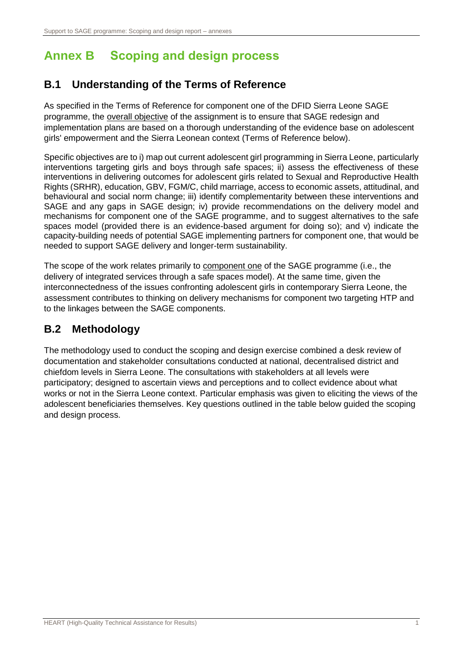# <span id="page-12-0"></span>**Annex B Scoping and design process**

### **B.1 Understanding of the Terms of Reference**

As specified in the Terms of Reference for component one of the DFID Sierra Leone SAGE programme, the overall objective of the assignment is to ensure that SAGE redesign and implementation plans are based on a thorough understanding of the evidence base on adolescent girls' empowerment and the Sierra Leonean context (Terms of Reference below).

Specific objectives are to i) map out current adolescent girl programming in Sierra Leone, particularly interventions targeting girls and boys through safe spaces; ii) assess the effectiveness of these interventions in delivering outcomes for adolescent girls related to Sexual and Reproductive Health Rights (SRHR), education, GBV, FGM/C, child marriage, access to economic assets, attitudinal, and behavioural and social norm change; iii) identify complementarity between these interventions and SAGE and any gaps in SAGE design; iv) provide recommendations on the delivery model and mechanisms for component one of the SAGE programme, and to suggest alternatives to the safe spaces model (provided there is an evidence-based argument for doing so); and v) indicate the capacity-building needs of potential SAGE implementing partners for component one, that would be needed to support SAGE delivery and longer-term sustainability.

The scope of the work relates primarily to component one of the SAGE programme (i.e., the delivery of integrated services through a safe spaces model). At the same time, given the interconnectedness of the issues confronting adolescent girls in contemporary Sierra Leone, the assessment contributes to thinking on delivery mechanisms for component two targeting HTP and to the linkages between the SAGE components.

### **B.2 Methodology**

The methodology used to conduct the scoping and design exercise combined a desk review of documentation and stakeholder consultations conducted at national, decentralised district and chiefdom levels in Sierra Leone. The consultations with stakeholders at all levels were participatory; designed to ascertain views and perceptions and to collect evidence about what works or not in the Sierra Leone context. Particular emphasis was given to eliciting the views of the adolescent beneficiaries themselves. Key questions outlined in the table below guided the scoping and design process.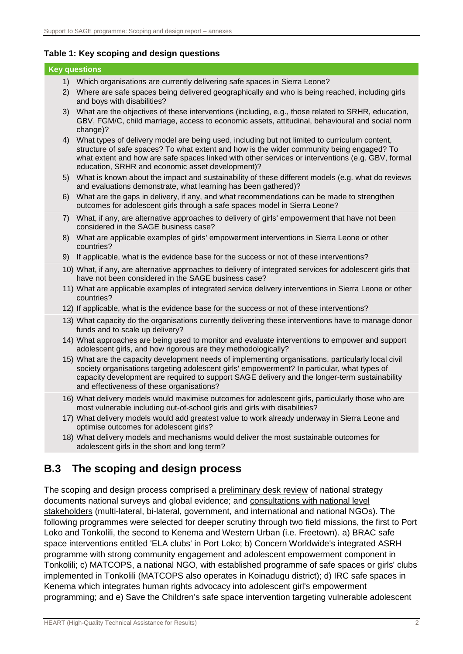### **Table 1: Key scoping and design questions**

|     |    | <b>Key questions</b>                                                                                                                                                                                                                                                                                                                                |
|-----|----|-----------------------------------------------------------------------------------------------------------------------------------------------------------------------------------------------------------------------------------------------------------------------------------------------------------------------------------------------------|
|     |    | 1) Which organisations are currently delivering safe spaces in Sierra Leone?                                                                                                                                                                                                                                                                        |
|     |    | 2) Where are safe spaces being delivered geographically and who is being reached, including girls<br>and boys with disabilities?                                                                                                                                                                                                                    |
|     | 3) | What are the objectives of these interventions (including, e.g., those related to SRHR, education,<br>GBV, FGM/C, child marriage, access to economic assets, attitudinal, behavioural and social norm<br>change)?                                                                                                                                   |
|     | 4) | What types of delivery model are being used, including but not limited to curriculum content,<br>structure of safe spaces? To what extent and how is the wider community being engaged? To<br>what extent and how are safe spaces linked with other services or interventions (e.g. GBV, formal<br>education, SRHR and economic asset development)? |
|     |    | 5) What is known about the impact and sustainability of these different models (e.g. what do reviews<br>and evaluations demonstrate, what learning has been gathered)?                                                                                                                                                                              |
|     |    | 6) What are the gaps in delivery, if any, and what recommendations can be made to strengthen<br>outcomes for adolescent girls through a safe spaces model in Sierra Leone?                                                                                                                                                                          |
|     | 7) | What, if any, are alternative approaches to delivery of girls' empowerment that have not been<br>considered in the SAGE business case?                                                                                                                                                                                                              |
|     | 8) | What are applicable examples of girls' empowerment interventions in Sierra Leone or other<br>countries?                                                                                                                                                                                                                                             |
|     | 9) | If applicable, what is the evidence base for the success or not of these interventions?                                                                                                                                                                                                                                                             |
|     |    | 10) What, if any, are alternative approaches to delivery of integrated services for adolescent girls that<br>have not been considered in the SAGE business case?                                                                                                                                                                                    |
|     |    | 11) What are applicable examples of integrated service delivery interventions in Sierra Leone or other<br>countries?                                                                                                                                                                                                                                |
|     |    | 12) If applicable, what is the evidence base for the success or not of these interventions?                                                                                                                                                                                                                                                         |
|     |    | 13) What capacity do the organisations currently delivering these interventions have to manage donor<br>funds and to scale up delivery?                                                                                                                                                                                                             |
|     |    | 14) What approaches are being used to monitor and evaluate interventions to empower and support<br>adolescent girls, and how rigorous are they methodologically?                                                                                                                                                                                    |
|     |    | 15) What are the capacity development needs of implementing organisations, particularly local civil<br>society organisations targeting adolescent girls' empowerment? In particular, what types of<br>capacity development are required to support SAGE delivery and the longer-term sustainability<br>and effectiveness of these organisations?    |
|     |    | 16) What delivery models would maximise outcomes for adolescent girls, particularly those who are<br>most vulnerable including out-of-school girls and girls with disabilities?                                                                                                                                                                     |
|     |    | 17) What delivery models would add greatest value to work already underway in Sierra Leone and<br>optimise outcomes for adolescent girls?                                                                                                                                                                                                           |
|     |    | 18) What delivery models and mechanisms would deliver the most sustainable outcomes for<br>adolescent girls in the short and long term?                                                                                                                                                                                                             |
| B.3 |    | The scoping and design process                                                                                                                                                                                                                                                                                                                      |

The scoping and design process comprised a preliminary desk review of national strategy documents national surveys and global evidence; and consultations with national level stakeholders (multi-lateral, bi-lateral, government, and international and national NGOs). The following programmes were selected for deeper scrutiny through two field missions, the first to Port Loko and Tonkolili, the second to Kenema and Western Urban (i.e. Freetown). a) BRAC safe space interventions entitled 'ELA clubs' in Port Loko; b) Concern Worldwide's integrated ASRH programme with strong community engagement and adolescent empowerment component in Tonkolili; c) MATCOPS, a national NGO, with established programme of safe spaces or girls' clubs implemented in Tonkolili (MATCOPS also operates in Koinadugu district); d) IRC safe spaces in Kenema which integrates human rights advocacy into adolescent girl's empowerment programming; and e) Save the Children's safe space intervention targeting vulnerable adolescent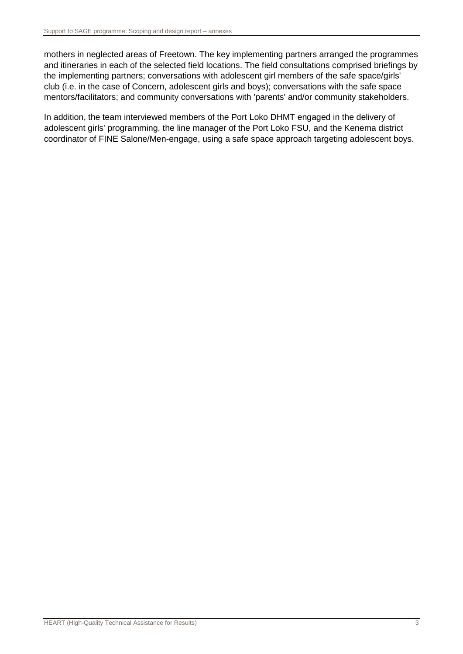mothers in neglected areas of Freetown. The key implementing partners arranged the programmes and itineraries in each of the selected field locations. The field consultations comprised briefings by the implementing partners; conversations with adolescent girl members of the safe space/girls' club (i.e. in the case of Concern, adolescent girls and boys); conversations with the safe space mentors/facilitators; and community conversations with 'parents' and/or community stakeholders.

In addition, the team interviewed members of the Port Loko DHMT engaged in the delivery of adolescent girls' programming, the line manager of the Port Loko FSU, and the Kenema district coordinator of FINE Salone/Men-engage, using a safe space approach targeting adolescent boys.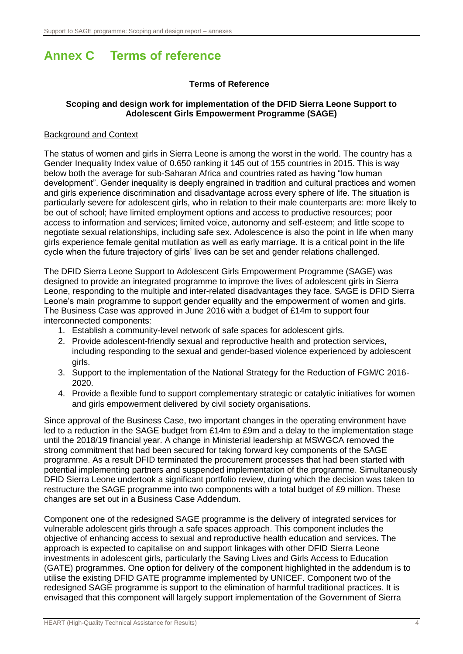# <span id="page-15-0"></span>**Annex C Terms of reference**

### **Terms of Reference**

### **Scoping and design work for implementation of the DFID Sierra Leone Support to Adolescent Girls Empowerment Programme (SAGE)**

### Background and Context

The status of women and girls in Sierra Leone is among the worst in the world. The country has a Gender Inequality Index value of 0.650 ranking it 145 out of 155 countries in 2015. This is way below both the average for sub-Saharan Africa and countries rated as having "low human development". Gender inequality is deeply engrained in tradition and cultural practices and women and girls experience discrimination and disadvantage across every sphere of life. The situation is particularly severe for adolescent girls, who in relation to their male counterparts are: more likely to be out of school; have limited employment options and access to productive resources; poor access to information and services; limited voice, autonomy and self-esteem; and little scope to negotiate sexual relationships, including safe sex. Adolescence is also the point in life when many girls experience female genital mutilation as well as early marriage. It is a critical point in the life cycle when the future trajectory of girls' lives can be set and gender relations challenged.

The DFID Sierra Leone Support to Adolescent Girls Empowerment Programme (SAGE) was designed to provide an integrated programme to improve the lives of adolescent girls in Sierra Leone, responding to the multiple and inter-related disadvantages they face. SAGE is DFID Sierra Leone's main programme to support gender equality and the empowerment of women and girls. The Business Case was approved in June 2016 with a budget of £14m to support four interconnected components:

- 1. Establish a community-level network of safe spaces for adolescent girls.
- 2. Provide adolescent-friendly sexual and reproductive health and protection services, including responding to the sexual and gender-based violence experienced by adolescent girls.
- 3. Support to the implementation of the National Strategy for the Reduction of FGM/C 2016- 2020.
- 4. Provide a flexible fund to support complementary strategic or catalytic initiatives for women and girls empowerment delivered by civil society organisations.

Since approval of the Business Case, two important changes in the operating environment have led to a reduction in the SAGE budget from £14m to £9m and a delay to the implementation stage until the 2018/19 financial year. A change in Ministerial leadership at MSWGCA removed the strong commitment that had been secured for taking forward key components of the SAGE programme. As a result DFID terminated the procurement processes that had been started with potential implementing partners and suspended implementation of the programme. Simultaneously DFID Sierra Leone undertook a significant portfolio review, during which the decision was taken to restructure the SAGE programme into two components with a total budget of £9 million. These changes are set out in a Business Case Addendum.

Component one of the redesigned SAGE programme is the delivery of integrated services for vulnerable adolescent girls through a safe spaces approach. This component includes the objective of enhancing access to sexual and reproductive health education and services. The approach is expected to capitalise on and support linkages with other DFID Sierra Leone investments in adolescent girls, particularly the Saving Lives and Girls Access to Education (GATE) programmes. One option for delivery of the component highlighted in the addendum is to utilise the existing DFID GATE programme implemented by UNICEF. Component two of the redesigned SAGE programme is support to the elimination of harmful traditional practices. It is envisaged that this component will largely support implementation of the Government of Sierra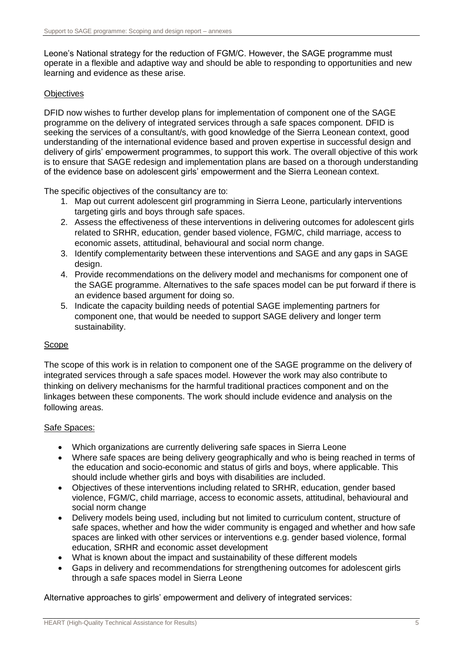Leone's National strategy for the reduction of FGM/C. However, the SAGE programme must operate in a flexible and adaptive way and should be able to responding to opportunities and new learning and evidence as these arise.

### **Objectives**

DFID now wishes to further develop plans for implementation of component one of the SAGE programme on the delivery of integrated services through a safe spaces component. DFID is seeking the services of a consultant/s, with good knowledge of the Sierra Leonean context, good understanding of the international evidence based and proven expertise in successful design and delivery of girls' empowerment programmes, to support this work. The overall objective of this work is to ensure that SAGE redesign and implementation plans are based on a thorough understanding of the evidence base on adolescent girls' empowerment and the Sierra Leonean context.

The specific objectives of the consultancy are to:

- 1. Map out current adolescent girl programming in Sierra Leone, particularly interventions targeting girls and boys through safe spaces.
- 2. Assess the effectiveness of these interventions in delivering outcomes for adolescent girls related to SRHR, education, gender based violence, FGM/C, child marriage, access to economic assets, attitudinal, behavioural and social norm change.
- 3. Identify complementarity between these interventions and SAGE and any gaps in SAGE design.
- 4. Provide recommendations on the delivery model and mechanisms for component one of the SAGE programme. Alternatives to the safe spaces model can be put forward if there is an evidence based argument for doing so.
- 5. Indicate the capacity building needs of potential SAGE implementing partners for component one, that would be needed to support SAGE delivery and longer term sustainability.

### Scope

The scope of this work is in relation to component one of the SAGE programme on the delivery of integrated services through a safe spaces model. However the work may also contribute to thinking on delivery mechanisms for the harmful traditional practices component and on the linkages between these components. The work should include evidence and analysis on the following areas.

### Safe Spaces:

- Which organizations are currently delivering safe spaces in Sierra Leone
- Where safe spaces are being delivery geographically and who is being reached in terms of the education and socio-economic and status of girls and boys, where applicable. This should include whether girls and boys with disabilities are included.
- Objectives of these interventions including related to SRHR, education, gender based violence, FGM/C, child marriage, access to economic assets, attitudinal, behavioural and social norm change
- Delivery models being used, including but not limited to curriculum content, structure of safe spaces, whether and how the wider community is engaged and whether and how safe spaces are linked with other services or interventions e.g. gender based violence, formal education, SRHR and economic asset development
- What is known about the impact and sustainability of these different models
- Gaps in delivery and recommendations for strengthening outcomes for adolescent girls through a safe spaces model in Sierra Leone

Alternative approaches to girls' empowerment and delivery of integrated services: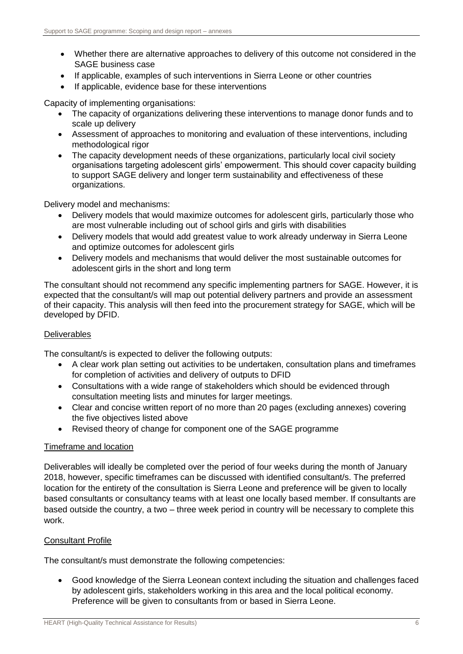- Whether there are alternative approaches to delivery of this outcome not considered in the SAGE business case
- If applicable, examples of such interventions in Sierra Leone or other countries
- If applicable, evidence base for these interventions

Capacity of implementing organisations:

- The capacity of organizations delivering these interventions to manage donor funds and to scale up delivery
- Assessment of approaches to monitoring and evaluation of these interventions, including methodological rigor
- The capacity development needs of these organizations, particularly local civil society organisations targeting adolescent girls' empowerment. This should cover capacity building to support SAGE delivery and longer term sustainability and effectiveness of these organizations.

Delivery model and mechanisms:

- Delivery models that would maximize outcomes for adolescent girls, particularly those who are most vulnerable including out of school girls and girls with disabilities
- Delivery models that would add greatest value to work already underway in Sierra Leone and optimize outcomes for adolescent girls
- Delivery models and mechanisms that would deliver the most sustainable outcomes for adolescent girls in the short and long term

The consultant should not recommend any specific implementing partners for SAGE. However, it is expected that the consultant/s will map out potential delivery partners and provide an assessment of their capacity. This analysis will then feed into the procurement strategy for SAGE, which will be developed by DFID.

### Deliverables

The consultant/s is expected to deliver the following outputs:

- A clear work plan setting out activities to be undertaken, consultation plans and timeframes for completion of activities and delivery of outputs to DFID
- Consultations with a wide range of stakeholders which should be evidenced through consultation meeting lists and minutes for larger meetings.
- Clear and concise written report of no more than 20 pages (excluding annexes) covering the five objectives listed above
- Revised theory of change for component one of the SAGE programme

### Timeframe and location

Deliverables will ideally be completed over the period of four weeks during the month of January 2018, however, specific timeframes can be discussed with identified consultant/s. The preferred location for the entirety of the consultation is Sierra Leone and preference will be given to locally based consultants or consultancy teams with at least one locally based member. If consultants are based outside the country, a two – three week period in country will be necessary to complete this work.

### Consultant Profile

The consultant/s must demonstrate the following competencies:

 Good knowledge of the Sierra Leonean context including the situation and challenges faced by adolescent girls, stakeholders working in this area and the local political economy. Preference will be given to consultants from or based in Sierra Leone.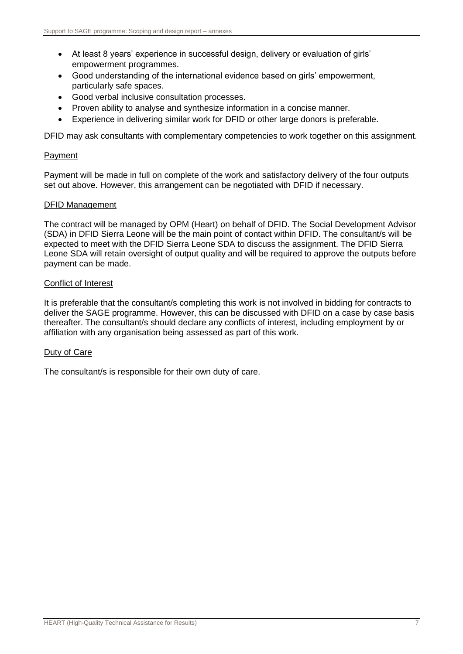- At least 8 years' experience in successful design, delivery or evaluation of girls' empowerment programmes.
- Good understanding of the international evidence based on girls' empowerment, particularly safe spaces.
- Good verbal inclusive consultation processes.
- Proven ability to analyse and synthesize information in a concise manner.
- Experience in delivering similar work for DFID or other large donors is preferable.

DFID may ask consultants with complementary competencies to work together on this assignment.

### Payment

Payment will be made in full on complete of the work and satisfactory delivery of the four outputs set out above. However, this arrangement can be negotiated with DFID if necessary.

### DFID Management

The contract will be managed by OPM (Heart) on behalf of DFID. The Social Development Advisor (SDA) in DFID Sierra Leone will be the main point of contact within DFID. The consultant/s will be expected to meet with the DFID Sierra Leone SDA to discuss the assignment. The DFID Sierra Leone SDA will retain oversight of output quality and will be required to approve the outputs before payment can be made.

### Conflict of Interest

It is preferable that the consultant/s completing this work is not involved in bidding for contracts to deliver the SAGE programme. However, this can be discussed with DFID on a case by case basis thereafter. The consultant/s should declare any conflicts of interest, including employment by or affiliation with any organisation being assessed as part of this work.

### Duty of Care

The consultant/s is responsible for their own duty of care.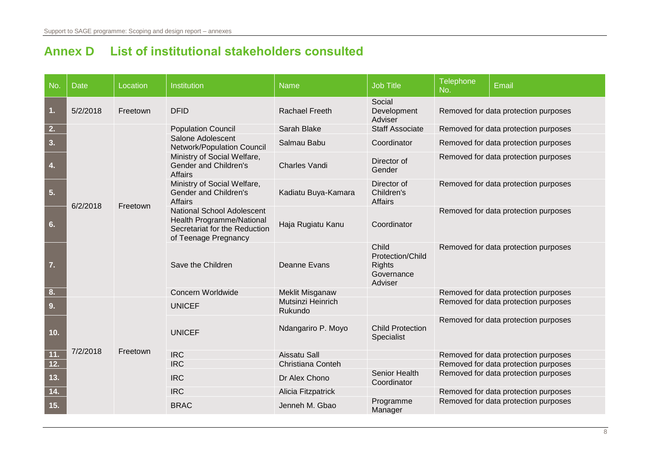# **Annex D List of institutional stakeholders consulted**

<span id="page-19-0"></span>

| No.              | <b>Date</b> | Location | Institution                                                                                                             | <b>Name</b>                  | <b>Job Title</b>                                                       | <b>Telephone</b><br>No. | Email                                       |  |
|------------------|-------------|----------|-------------------------------------------------------------------------------------------------------------------------|------------------------------|------------------------------------------------------------------------|-------------------------|---------------------------------------------|--|
| $\overline{1}$ . | 5/2/2018    | Freetown | <b>DFID</b>                                                                                                             | Rachael Freeth               | Social<br>Development<br>Adviser                                       |                         | Removed for data protection purposes        |  |
| 2.               |             |          | <b>Population Council</b>                                                                                               | Sarah Blake                  | <b>Staff Associate</b>                                                 |                         | Removed for data protection purposes        |  |
| 3.               |             |          | Salone Adolescent<br>Network/Population Council                                                                         | Salmau Babu                  | Coordinator                                                            |                         | Removed for data protection purposes        |  |
| 4.               |             |          | Ministry of Social Welfare,<br>Gender and Children's<br><b>Affairs</b>                                                  | Charles Vandi                | Director of<br>Gender                                                  |                         | Removed for data protection purposes        |  |
| 5.               | 6/2/2018    |          |                                                                                                                         | Freetown                     | Ministry of Social Welfare,<br>Gender and Children's<br><b>Affairs</b> | Kadiatu Buya-Kamara     | Director of<br>Children's<br><b>Affairs</b> |  |
| 6.               |             |          | <b>National School Adolescent</b><br>Health Programme/National<br>Secretariat for the Reduction<br>of Teenage Pregnancy | Haja Rugiatu Kanu            | Coordinator                                                            |                         | Removed for data protection purposes        |  |
| $\overline{7}$ . |             |          | Save the Children                                                                                                       | Deanne Evans                 | Child<br>Protection/Child<br><b>Rights</b><br>Governance<br>Adviser    |                         | Removed for data protection purposes        |  |
| 8.               |             |          | Concern Worldwide                                                                                                       | Meklit Misganaw              |                                                                        |                         | Removed for data protection purposes        |  |
| 9.               |             |          | <b>UNICEF</b>                                                                                                           | Mutsinzi Heinrich<br>Rukundo |                                                                        |                         | Removed for data protection purposes        |  |
| 10.              |             |          | <b>UNICEF</b>                                                                                                           | Ndangariro P. Moyo           | <b>Child Protection</b><br>Specialist                                  |                         | Removed for data protection purposes        |  |
| 11.              | 7/2/2018    | Freetown | <b>IRC</b>                                                                                                              | Aissatu Sall                 |                                                                        |                         | Removed for data protection purposes        |  |
| 12.              |             |          | <b>IRC</b>                                                                                                              | Christiana Conteh            |                                                                        |                         | Removed for data protection purposes        |  |
| 13.              |             |          | <b>IRC</b>                                                                                                              | Dr Alex Chono                | Senior Health<br>Coordinator                                           |                         | Removed for data protection purposes        |  |
| 14.              |             |          | <b>IRC</b>                                                                                                              | Alicia Fitzpatrick           |                                                                        |                         | Removed for data protection purposes        |  |
| 15.              |             |          | <b>BRAC</b>                                                                                                             | Jenneh M. Gbao               | Programme<br>Manager                                                   |                         | Removed for data protection purposes        |  |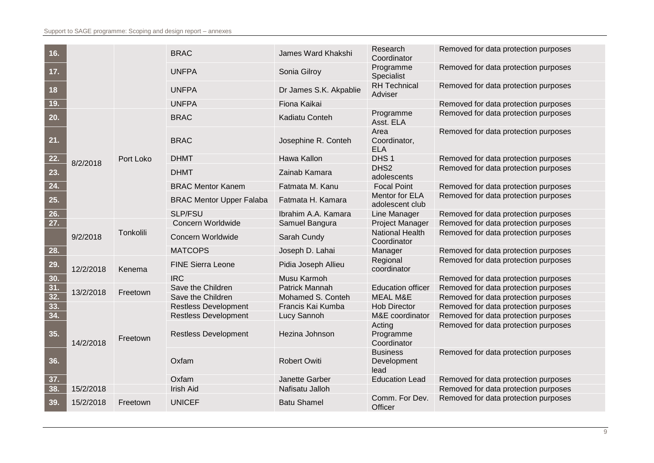| 16.               |           |           | <b>BRAC</b>                     | James Ward Khakshi     | Research<br>Coordinator                | Removed for data protection purposes |
|-------------------|-----------|-----------|---------------------------------|------------------------|----------------------------------------|--------------------------------------|
| 17.               |           |           | <b>UNFPA</b>                    | Sonia Gilroy           | Programme<br>Specialist                | Removed for data protection purposes |
| 18                |           |           | <b>UNFPA</b>                    | Dr James S.K. Akpablie | <b>RH</b> Technical<br>Adviser         | Removed for data protection purposes |
| 19.               |           |           | <b>UNFPA</b>                    | Fiona Kaikai           |                                        | Removed for data protection purposes |
| 20.               |           |           | <b>BRAC</b>                     | Kadiatu Conteh         | Programme<br>Asst. ELA                 | Removed for data protection purposes |
| 21.               |           |           | <b>BRAC</b>                     | Josephine R. Conteh    | Area<br>Coordinator,<br><b>ELA</b>     | Removed for data protection purposes |
| 22.               | 8/2/2018  | Port Loko | <b>DHMT</b>                     | Hawa Kallon            | DHS <sub>1</sub>                       | Removed for data protection purposes |
| 23.               |           |           | <b>DHMT</b>                     | Zainab Kamara          | DHS <sub>2</sub><br>adolescents        | Removed for data protection purposes |
| 24.               |           |           | <b>BRAC Mentor Kanem</b>        | Fatmata M. Kanu        | <b>Focal Point</b>                     | Removed for data protection purposes |
| 25.               |           |           | <b>BRAC Mentor Upper Falaba</b> | Fatmata H. Kamara      | Mentor for ELA<br>adolescent club      | Removed for data protection purposes |
| 26.               |           |           | <b>SLP/FSU</b>                  | Ibrahim A.A. Kamara    | Line Manager                           | Removed for data protection purposes |
| $\overline{27}$ . |           |           | Concern Worldwide               | Samuel Bangura         | <b>Project Manager</b>                 | Removed for data protection purposes |
|                   | 9/2/2018  | Tonkolili | Concern Worldwide               | Sarah Cundy            | <b>National Health</b><br>Coordinator  | Removed for data protection purposes |
| 28.               |           |           | <b>MATCOPS</b>                  | Joseph D. Lahai        | Manager                                | Removed for data protection purposes |
| 29.               | 12/2/2018 | Kenema    | <b>FINE Sierra Leone</b>        | Pidia Joseph Allieu    | Regional<br>coordinator                | Removed for data protection purposes |
| 30.               |           |           | <b>IRC</b>                      | Musu Karmoh            |                                        | Removed for data protection purposes |
| 31.               | 13/2/2018 | Freetown  | Save the Children               | Patrick Mannah         | <b>Education officer</b>               | Removed for data protection purposes |
| $\overline{32.}$  |           |           | Save the Children               | Mohamed S. Conteh      | <b>MEAL M&amp;E</b>                    | Removed for data protection purposes |
| 33.               |           |           | <b>Restless Development</b>     | Francis Kai Kumba      | <b>Hob Director</b>                    | Removed for data protection purposes |
| 34.               |           |           | <b>Restless Development</b>     | Lucy Sannoh            | M&E coordinator                        | Removed for data protection purposes |
| 35.               | 14/2/2018 | Freetown  | <b>Restless Development</b>     | Hezina Johnson         | Acting<br>Programme<br>Coordinator     | Removed for data protection purposes |
| 36.               |           |           | Oxfam                           | <b>Robert Owiti</b>    | <b>Business</b><br>Development<br>lead | Removed for data protection purposes |
| 37.               |           |           | Oxfam                           | Janette Garber         | <b>Education Lead</b>                  | Removed for data protection purposes |
| 38.               | 15/2/2018 |           | <b>Irish Aid</b>                | Nafisatu Jalloh        |                                        | Removed for data protection purposes |
| 39.               | 15/2/2018 | Freetown  | <b>UNICEF</b>                   | <b>Batu Shamel</b>     | Comm. For Dev.<br>Officer              | Removed for data protection purposes |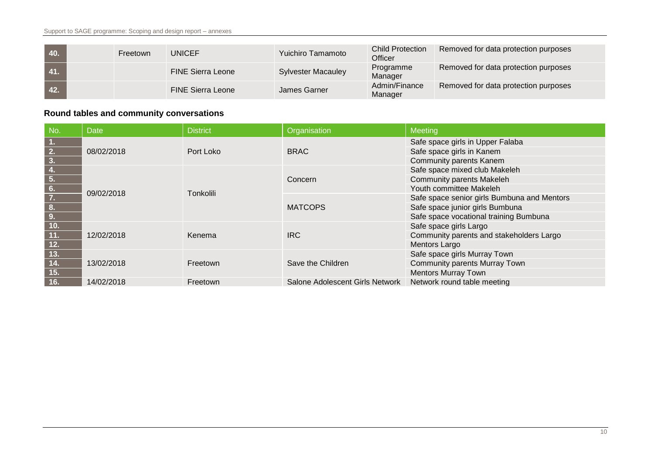| 40.    | Freetown | <b>UNICEF</b>            | <b>Yuichiro Tamamoto</b>  | <b>Child Protection</b><br>Officer | Removed for data protection purposes |
|--------|----------|--------------------------|---------------------------|------------------------------------|--------------------------------------|
| $-41.$ |          | <b>FINE Sierra Leone</b> | <b>Sylvester Macauley</b> | Programme<br>Manager               | Removed for data protection purposes |
| 42.    |          | <b>FINE Sierra Leone</b> | James Garner              | Admin/Finance<br>Manager           | Removed for data protection purposes |

### **Round tables and community conversations**

| No.                                                   | <b>Date</b> | <b>District</b>  | Organisation                    | <b>Meeting</b>                              |
|-------------------------------------------------------|-------------|------------------|---------------------------------|---------------------------------------------|
|                                                       |             |                  |                                 | Safe space girls in Upper Falaba            |
| $\frac{1}{2}$ .<br>$\frac{2}{3}$ .                    | 08/02/2018  | Port Loko        | <b>BRAC</b>                     | Safe space girls in Kanem                   |
|                                                       |             |                  |                                 | <b>Community parents Kanem</b>              |
|                                                       |             |                  |                                 | Safe space mixed club Makeleh               |
| $\frac{4.}{5.}$<br>$\frac{6.}{7.}$<br>$\frac{8.}{9.}$ |             | <b>Tonkolili</b> | Concern                         | <b>Community parents Makeleh</b>            |
|                                                       | 09/02/2018  |                  |                                 | Youth committee Makeleh                     |
|                                                       |             |                  | <b>MATCOPS</b>                  | Safe space senior girls Bumbuna and Mentors |
|                                                       |             |                  |                                 | Safe space junior girls Bumbuna             |
|                                                       |             |                  |                                 | Safe space vocational training Bumbuna      |
| 10.                                                   |             |                  |                                 | Safe space girls Largo                      |
| 11.                                                   | 12/02/2018  | Kenema           | <b>IRC</b>                      | Community parents and stakeholders Largo    |
| 12.                                                   |             |                  |                                 | Mentors Largo                               |
| $13.$                                                 |             |                  |                                 | Safe space girls Murray Town                |
| 14.                                                   | 13/02/2018  | Freetown         | Save the Children               | Community parents Murray Town               |
| 15.                                                   |             |                  |                                 | <b>Mentors Murray Town</b>                  |
| 16.                                                   | 14/02/2018  | Freetown         | Salone Adolescent Girls Network | Network round table meeting                 |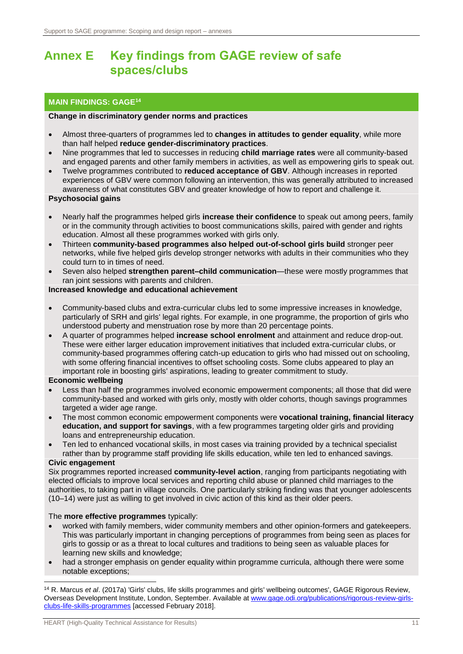### <span id="page-22-0"></span>**Annex E Key findings from GAGE review of safe spaces/clubs**

### **MAIN FINDINGS: GAGE<sup>14</sup>**

### **Change in discriminatory gender norms and practices**

- Almost three-quarters of programmes led to **changes in attitudes to gender equality**, while more than half helped **reduce gender-discriminatory practices**.
- Nine programmes that led to successes in reducing **child marriage rates** were all community-based and engaged parents and other family members in activities, as well as empowering girls to speak out.
- Twelve programmes contributed to **reduced acceptance of GBV**. Although increases in reported experiences of GBV were common following an intervention, this was generally attributed to increased awareness of what constitutes GBV and greater knowledge of how to report and challenge it.

### **Psychosocial gains**

- Nearly half the programmes helped girls **increase their confidence** to speak out among peers, family or in the community through activities to boost communications skills, paired with gender and rights education. Almost all these programmes worked with girls only.
- Thirteen **community-based programmes also helped out-of-school girls build** stronger peer networks, while five helped girls develop stronger networks with adults in their communities who they could turn to in times of need.
- Seven also helped **strengthen parent–child communication**—these were mostly programmes that ran joint sessions with parents and children.

### **Increased knowledge and educational achievement**

- Community-based clubs and extra-curricular clubs led to some impressive increases in knowledge, particularly of SRH and girls' legal rights. For example, in one programme, the proportion of girls who understood puberty and menstruation rose by more than 20 percentage points.
- A quarter of programmes helped **increase school enrolment** and attainment and reduce drop-out. These were either larger education improvement initiatives that included extra-curricular clubs, or community-based programmes offering catch-up education to girls who had missed out on schooling, with some offering financial incentives to offset schooling costs. Some clubs appeared to play an important role in boosting girls' aspirations, leading to greater commitment to study.

### **Economic wellbeing**

- Less than half the programmes involved economic empowerment components; all those that did were community-based and worked with girls only, mostly with older cohorts, though savings programmes targeted a wider age range.
- The most common economic empowerment components were **vocational training, financial literacy education, and support for savings**, with a few programmes targeting older girls and providing loans and entrepreneurship education.
- Ten led to enhanced vocational skills, in most cases via training provided by a technical specialist rather than by programme staff providing life skills education, while ten led to enhanced savings.

### **Civic engagement**

-

Six programmes reported increased **community-level action**, ranging from participants negotiating with elected officials to improve local services and reporting child abuse or planned child marriages to the authorities, to taking part in village councils. One particularly striking finding was that younger adolescents (10–14) were just as willing to get involved in civic action of this kind as their older peers.

### The **more effective programmes** typically:

- worked with family members, wider community members and other opinion-formers and gatekeepers. This was particularly important in changing perceptions of programmes from being seen as places for girls to gossip or as a threat to local cultures and traditions to being seen as valuable places for learning new skills and knowledge;
- had a stronger emphasis on gender equality within programme curricula, although there were some notable exceptions;

<sup>14</sup> R. Marcus *et al*. (2017a) 'Girls' clubs, life skills programmes and girls' wellbeing outcomes', GAGE Rigorous Review, Overseas Development Institute, London, September. Available at [www.gage.odi.org/publications/rigorous-review-girls](https://www.gage.odi.org/publications/rigorous-review-girls-clubs-life-skills-programmes)[clubs-life-skills-programmes](https://www.gage.odi.org/publications/rigorous-review-girls-clubs-life-skills-programmes) [accessed February 2018].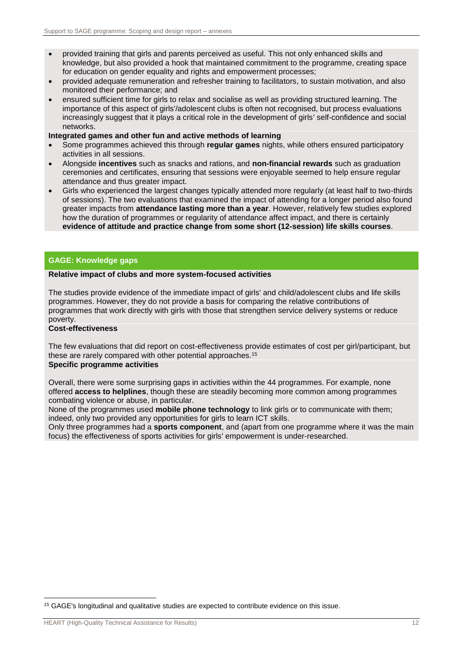- provided training that girls and parents perceived as useful. This not only enhanced skills and knowledge, but also provided a hook that maintained commitment to the programme, creating space for education on gender equality and rights and empowerment processes;
- provided adequate remuneration and refresher training to facilitators, to sustain motivation, and also monitored their performance; and
- ensured sufficient time for girls to relax and socialise as well as providing structured learning. The importance of this aspect of girls'/adolescent clubs is often not recognised, but process evaluations increasingly suggest that it plays a critical role in the development of girls' self-confidence and social networks.

#### **Integrated games and other fun and active methods of learning**

- Some programmes achieved this through **regular games** nights, while others ensured participatory activities in all sessions.
- Alongside **incentives** such as snacks and rations, and **non-financial rewards** such as graduation ceremonies and certificates, ensuring that sessions were enjoyable seemed to help ensure regular attendance and thus greater impact.
- Girls who experienced the largest changes typically attended more regularly (at least half to two-thirds of sessions). The two evaluations that examined the impact of attending for a longer period also found greater impacts from **attendance lasting more than a year**. However, relatively few studies explored how the duration of programmes or regularity of attendance affect impact, and there is certainly **evidence of attitude and practice change from some short (12-session) life skills courses**.

#### **GAGE: Knowledge gaps**

#### **Relative impact of clubs and more system-focused activities**

The studies provide evidence of the immediate impact of girls' and child/adolescent clubs and life skills programmes. However, they do not provide a basis for comparing the relative contributions of programmes that work directly with girls with those that strengthen service delivery systems or reduce poverty.

#### **Cost-effectiveness**

The few evaluations that did report on cost-effectiveness provide estimates of cost per girl/participant, but these are rarely compared with other potential approaches.<sup>15</sup> **Specific programme activities**

#### Overall, there were some surprising gaps in activities within the 44 programmes. For example, none offered **access to helplines**, though these are steadily becoming more common among programmes combating violence or abuse, in particular.

None of the programmes used **mobile phone technology** to link girls or to communicate with them; indeed, only two provided any opportunities for girls to learn ICT skills.

Only three programmes had a **sports component**, and (apart from one programme where it was the main focus) the effectiveness of sports activities for girls' empowerment is under-researched.

-

<sup>15</sup> GAGE's longitudinal and qualitative studies are expected to contribute evidence on this issue.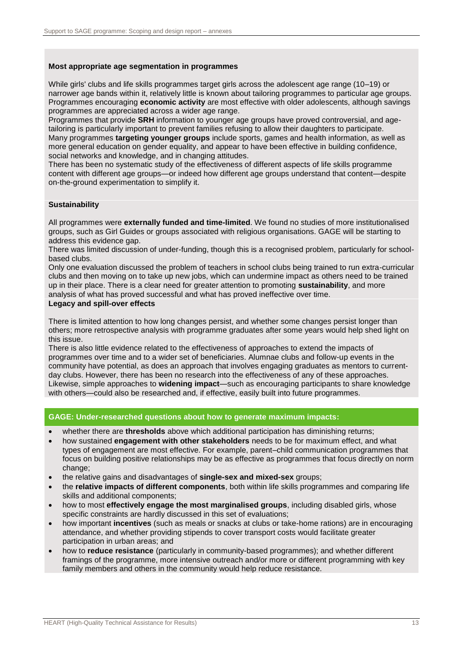### **Most appropriate age segmentation in programmes**

While girls' clubs and life skills programmes target girls across the adolescent age range (10–19) or narrower age bands within it, relatively little is known about tailoring programmes to particular age groups. Programmes encouraging **economic activity** are most effective with older adolescents, although savings programmes are appreciated across a wider age range.

Programmes that provide **SRH** information to younger age groups have proved controversial, and agetailoring is particularly important to prevent families refusing to allow their daughters to participate. Many programmes **targeting younger groups** include sports, games and health information, as well as more general education on gender equality, and appear to have been effective in building confidence, social networks and knowledge, and in changing attitudes.

There has been no systematic study of the effectiveness of different aspects of life skills programme content with different age groups—or indeed how different age groups understand that content—despite on-the-ground experimentation to simplify it.

### **Sustainability**

All programmes were **externally funded and time-limited**. We found no studies of more institutionalised groups, such as Girl Guides or groups associated with religious organisations. GAGE will be starting to address this evidence gap.

There was limited discussion of under-funding, though this is a recognised problem, particularly for schoolbased clubs.

Only one evaluation discussed the problem of teachers in school clubs being trained to run extra-curricular clubs and then moving on to take up new jobs, which can undermine impact as others need to be trained up in their place. There is a clear need for greater attention to promoting **sustainability**, and more analysis of what has proved successful and what has proved ineffective over time.

### **Legacy and spill-over effects**

There is limited attention to how long changes persist, and whether some changes persist longer than others; more retrospective analysis with programme graduates after some years would help shed light on this issue.

There is also little evidence related to the effectiveness of approaches to extend the impacts of programmes over time and to a wider set of beneficiaries. Alumnae clubs and follow-up events in the community have potential, as does an approach that involves engaging graduates as mentors to currentday clubs. However, there has been no research into the effectiveness of any of these approaches. Likewise, simple approaches to **widening impact**—such as encouraging participants to share knowledge with others—could also be researched and, if effective, easily built into future programmes.

### **GAGE: Under-researched questions about how to generate maximum impacts:**

- whether there are **thresholds** above which additional participation has diminishing returns:
- how sustained **engagement with other stakeholders** needs to be for maximum effect, and what types of engagement are most effective. For example, parent–child communication programmes that focus on building positive relationships may be as effective as programmes that focus directly on norm change;
- the relative gains and disadvantages of **single-sex and mixed-sex** groups;
- the **relative impacts of different components**, both within life skills programmes and comparing life skills and additional components;
- how to most **effectively engage the most marginalised groups**, including disabled girls, whose specific constraints are hardly discussed in this set of evaluations;
- how important **incentives** (such as meals or snacks at clubs or take-home rations) are in encouraging attendance, and whether providing stipends to cover transport costs would facilitate greater participation in urban areas; and
- how to **reduce resistance** (particularly in community-based programmes); and whether different framings of the programme, more intensive outreach and/or more or different programming with key family members and others in the community would help reduce resistance.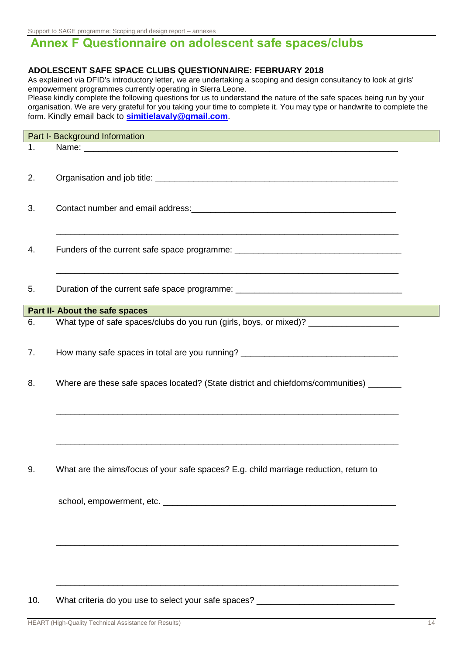Support to SAGE programme: Scoping and design report – annexes

# <span id="page-25-0"></span>**Annex F Questionnaire on adolescent safe spaces/clubs**

### **ADOLESCENT SAFE SPACE CLUBS QUESTIONNAIRE: FEBRUARY 2018**

As explained via DFID's introductory letter, we are undertaking a scoping and design consultancy to look at girls' empowerment programmes currently operating in Sierra Leone.

Please kindly complete the following questions for us to understand the nature of the safe spaces being run by your organisation. We are very grateful for you taking your time to complete it. You may type or handwrite to complete the form. Kindly email back to **[simitielavaly@gmail.com](mailto:simitielavaly@gmail.com)**.

|    | Part I- Background Information                                                                                                                                                         |  |
|----|----------------------------------------------------------------------------------------------------------------------------------------------------------------------------------------|--|
| 1. |                                                                                                                                                                                        |  |
|    |                                                                                                                                                                                        |  |
| 2. |                                                                                                                                                                                        |  |
|    |                                                                                                                                                                                        |  |
|    |                                                                                                                                                                                        |  |
| 3. |                                                                                                                                                                                        |  |
|    |                                                                                                                                                                                        |  |
|    |                                                                                                                                                                                        |  |
| 4. |                                                                                                                                                                                        |  |
|    |                                                                                                                                                                                        |  |
|    | <u> 1989 - Johann Barn, mars et al. 1989 - Anna anno 1989 - Anna ann an t-Amhain ann an t-Amhain ann an t-Amhain</u>                                                                   |  |
| 5. | Duration of the current safe space programme: __________________________________                                                                                                       |  |
|    |                                                                                                                                                                                        |  |
| 6. | Part II- About the safe spaces<br><u> 1980 - Johann Barnett, fransk politiker (d. 1980)</u><br>What type of safe spaces/clubs do you run (girls, boys, or mixed)? ____________________ |  |
|    |                                                                                                                                                                                        |  |
|    |                                                                                                                                                                                        |  |
| 7. | How many safe spaces in total are you running? _________________________________                                                                                                       |  |
|    |                                                                                                                                                                                        |  |
| 8. | Where are these safe spaces located? (State district and chiefdoms/communities) ______                                                                                                 |  |
|    |                                                                                                                                                                                        |  |
|    |                                                                                                                                                                                        |  |
|    |                                                                                                                                                                                        |  |
|    |                                                                                                                                                                                        |  |
|    |                                                                                                                                                                                        |  |
|    |                                                                                                                                                                                        |  |
| 9. | What are the aims/focus of your safe spaces? E.g. child marriage reduction, return to                                                                                                  |  |
|    |                                                                                                                                                                                        |  |
|    |                                                                                                                                                                                        |  |
|    |                                                                                                                                                                                        |  |
|    |                                                                                                                                                                                        |  |
|    |                                                                                                                                                                                        |  |
|    |                                                                                                                                                                                        |  |
|    |                                                                                                                                                                                        |  |
|    |                                                                                                                                                                                        |  |
|    |                                                                                                                                                                                        |  |
|    |                                                                                                                                                                                        |  |

### 10. What criteria do you use to select your safe spaces?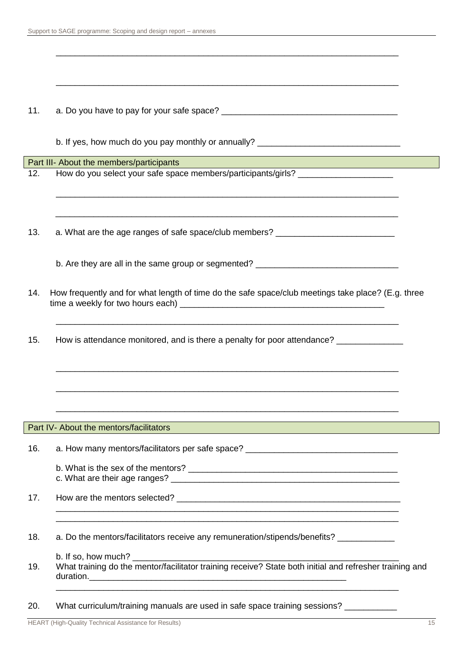| 11. |                                                                                                                                                                   |  |
|-----|-------------------------------------------------------------------------------------------------------------------------------------------------------------------|--|
|     | b. If yes, how much do you pay monthly or annually? _____________________________                                                                                 |  |
|     | Part III- About the members/participants<br><u> 1989 - Johann Barnett, mars et al. 1989 - Anna ann an t-Anna ann an t-Anna ann an t-Anna ann an t-Anna ann an</u> |  |
| 12. | How do you select your safe space members/participants/girls? __________________                                                                                  |  |
| 13. | a. What are the age ranges of safe space/club members? _________________________                                                                                  |  |
|     | b. Are they are all in the same group or segmented? ____________________________                                                                                  |  |
| 14. | How frequently and for what length of time do the safe space/club meetings take place? (E.g. three                                                                |  |
| 15. | How is attendance monitored, and is there a penalty for poor attendance? _____________                                                                            |  |
|     |                                                                                                                                                                   |  |
|     | Part IV-About the mentors/facilitators                                                                                                                            |  |
| 16. | a. How many mentors/facilitators per safe space? _______________________________                                                                                  |  |
|     |                                                                                                                                                                   |  |
| 17. |                                                                                                                                                                   |  |
| 18. | a. Do the mentors/facilitators receive any remuneration/stipends/benefits? ___________                                                                            |  |
| 19. |                                                                                                                                                                   |  |
| 20. | What curriculum/training manuals are used in safe space training sessions? ___________                                                                            |  |

HEART (High-Quality Technical Assistance for Results) 15